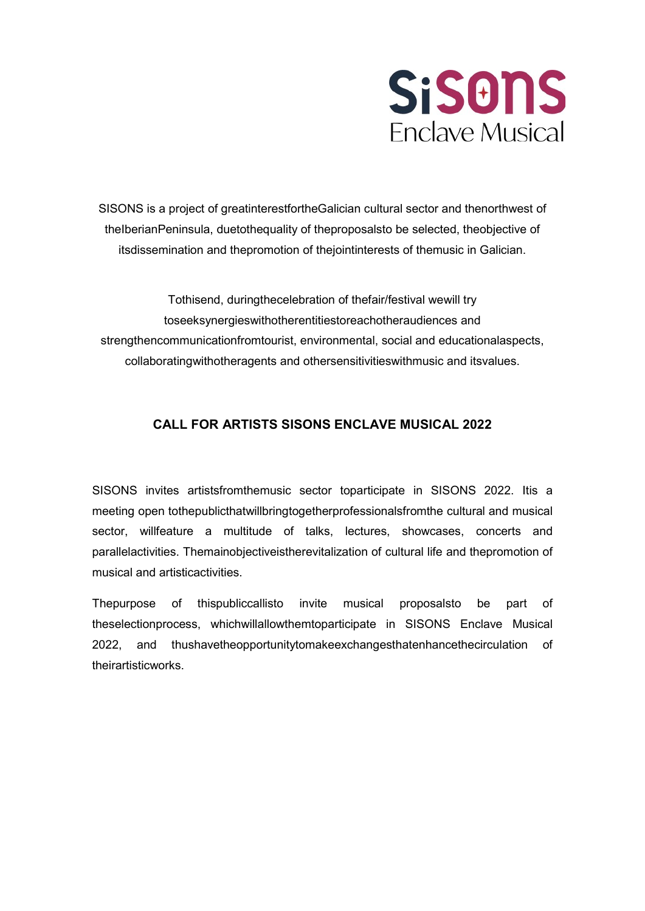

SISONS is a project of greatinterestfortheGalician cultural sector and thenorthwest of theIberianPeninsula, duetothequality of theproposalsto be selected, theobjective of itsdissemination and thepromotion of thejointinterests of themusic in Galician.

Tothisend, duringthecelebration of thefair/festival wewill try toseeksynergieswithotherentitiestoreachotheraudiences and strengthencommunicationfromtourist, environmental, social and educationalaspects, collaboratingwithotheragents and othersensitivitieswithmusic and itsvalues.

# CALL FOR ARTISTS SISONS ENCLAVE MUSICAL 2022

SISONS invites artistsfromthemusic sector toparticipate in SISONS 2022. Itis a meeting open tothepublicthatwillbringtogetherprofessionalsfromthe cultural and musical sector, willfeature a multitude of talks, lectures, showcases, concerts and parallelactivities. Themainobjectiveistherevitalization of cultural life and thepromotion of musical and artisticactivities.

Thepurpose of thispubliccallisto invite musical proposalsto be part of theselectionprocess, whichwillallowthemtoparticipate in SISONS Enclave Musical 2022, and thushavetheopportunitytomakeexchangesthatenhancethecirculation of theirartisticworks.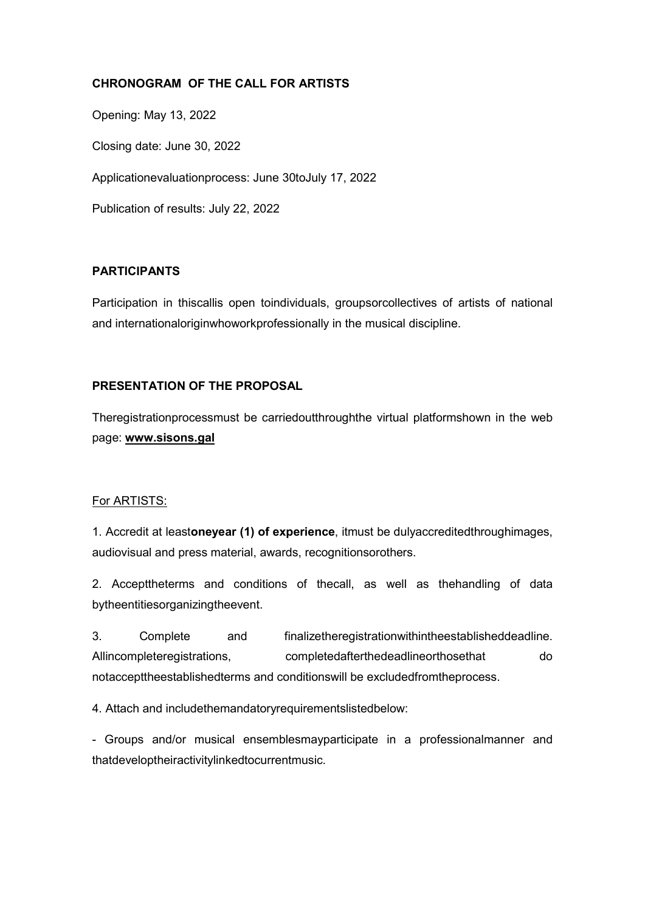#### CHRONOGRAM OF THE CALL FOR ARTISTS

Opening: May 13, 2022 Closing date: June 30, 2022 Applicationevaluationprocess: June 30toJuly 17, 2022 Publication of results: July 22, 2022

### PARTICIPANTS

Participation in thiscallis open toindividuals, groupsorcollectives of artists of national and internationaloriginwhoworkprofessionally in the musical discipline.

### PRESENTATION OF THE PROPOSAL

Theregistrationprocessmust be carriedoutthroughthe virtual platformshown in the web page: www.sisons.gal

### For ARTISTS:

1. Accredit at leastoneyear (1) of experience, itmust be dulyaccreditedthroughimages, audiovisual and press material, awards, recognitionsorothers.

2. Accepttheterms and conditions of thecall, as well as thehandling of data bytheentitiesorganizingtheevent.

3. Complete and finalizetheregistrationwithintheestablisheddeadline. Allincompleteregistrations, completedafterthedeadlineorthosethat do notaccepttheestablishedterms and conditionswill be excludedfromtheprocess.

4. Attach and includethemandatoryrequirementslistedbelow:

- Groups and/or musical ensemblesmayparticipate in a professionalmanner and thatdeveloptheiractivitylinkedtocurrentmusic.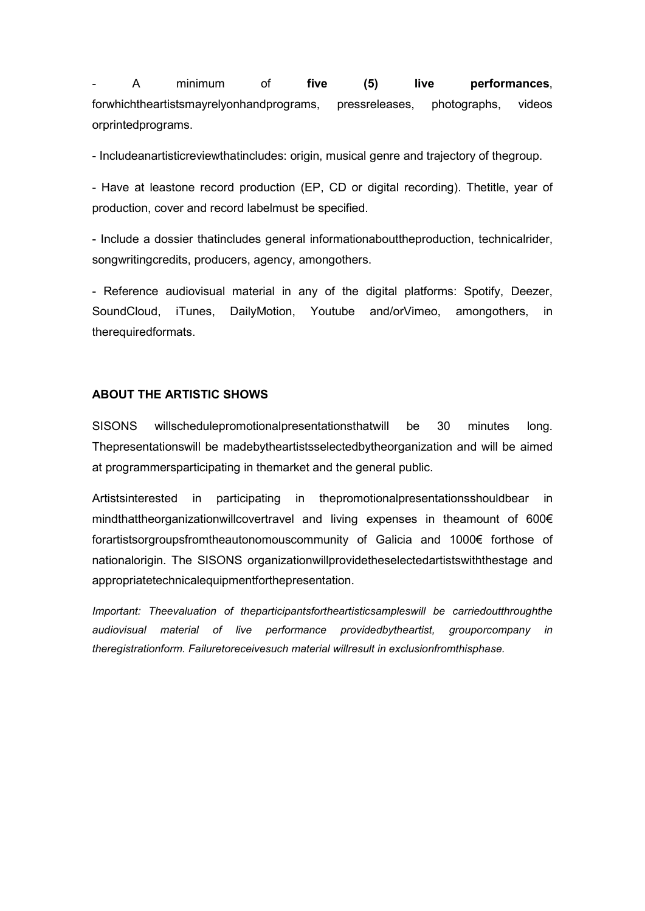A minimum of five (5) live performances, forwhichtheartistsmayrelyonhandprograms, pressreleases, photographs, videos orprintedprograms.

- Includeanartisticreviewthatincludes: origin, musical genre and trajectory of thegroup.

- Have at leastone record production (EP, CD or digital recording). Thetitle, year of production, cover and record labelmust be specified.

- Include a dossier thatincludes general informationabouttheproduction, technicalrider, songwritingcredits, producers, agency, amongothers.

- Reference audiovisual material in any of the digital platforms: Spotify, Deezer, SoundCloud, iTunes, DailyMotion, Youtube and/orVimeo, amongothers, in therequiredformats.

### ABOUT THE ARTISTIC SHOWS

SISONS willschedulepromotionalpresentationsthatwill be 30 minutes long. Thepresentationswill be madebytheartistsselectedbytheorganization and will be aimed at programmersparticipating in themarket and the general public.

Artistsinterested in participating in thepromotionalpresentationsshouldbear in mindthattheorganizationwillcovertravel and living expenses in theamount of 600€ forartistsorgroupsfromtheautonomouscommunity of Galicia and 1000€ forthose of nationalorigin. The SISONS organizationwillprovidetheselectedartistswiththestage and appropriatetechnicalequipmentforthepresentation.

Important: Theevaluation of theparticipantsfortheartisticsampleswill be carriedoutthroughthe audiovisual material of live performance providedbytheartist, grouporcompany in theregistrationform. Failuretoreceivesuch material willresult in exclusionfromthisphase.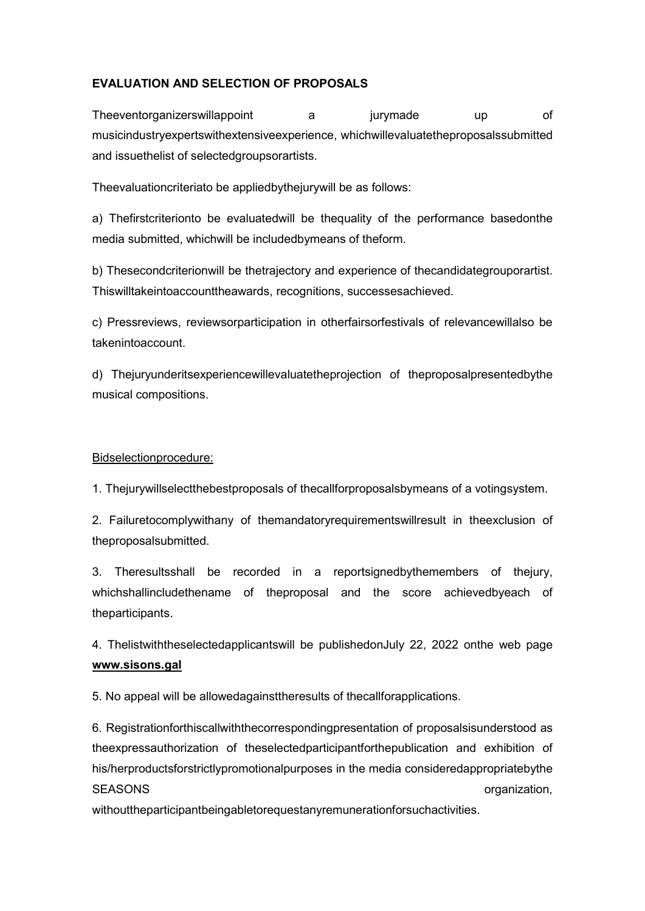## EVALUATION AND SELECTION OF PROPOSALS

Theeventorganizerswillappoint a jurymade up of musicindustryexpertswithextensiveexperience, whichwillevaluatetheproposalssubmitted and issuethelist of selectedgroupsorartists.

Theevaluationcriteriato be appliedbythejurywill be as follows:

a) Thefirstcriterionto be evaluatedwill be thequality of the performance basedonthe media submitted, whichwill be includedbymeans of theform.

b) Thesecondcriterionwill be thetrajectory and experience of thecandidategrouporartist. Thiswilltakeintoaccounttheawards, recognitions, successesachieved.

c) Pressreviews, reviewsorparticipation in otherfairsorfestivals of relevancewillalso be takenintoaccount.

d) Thejuryunderitsexperiencewillevaluatetheprojection of theproposalpresentedbythe musical compositions.

### Bidselectionprocedure:

1. Thejurywillselectthebestproposals of thecallforproposalsbymeans of a votingsystem.

2. Failuretocomplywithany of themandatoryrequirementswillresult in theexclusion of theproposalsubmitted.

3. Theresultsshall be recorded in a reportsignedbythemembers of thejury, whichshallincludethename of theproposal and the score achievedbyeach of theparticipants.

4. Thelistwiththeselectedapplicantswill be publishedonJuly 22, 2022 onthe web page www.sisons.gal

5. No appeal will be allowedagainsttheresults of thecallforapplications.

6. Registrationforthiscallwiththecorrespondingpresentation of proposalsisunderstood as theexpressauthorization of theselectedparticipantforthepublication and exhibition of his/herproductsforstrictlypromotionalpurposes in the media consideredappropriatebythe SEASONS **organization**,

withouttheparticipantbeingabletorequestanyremunerationforsuchactivities.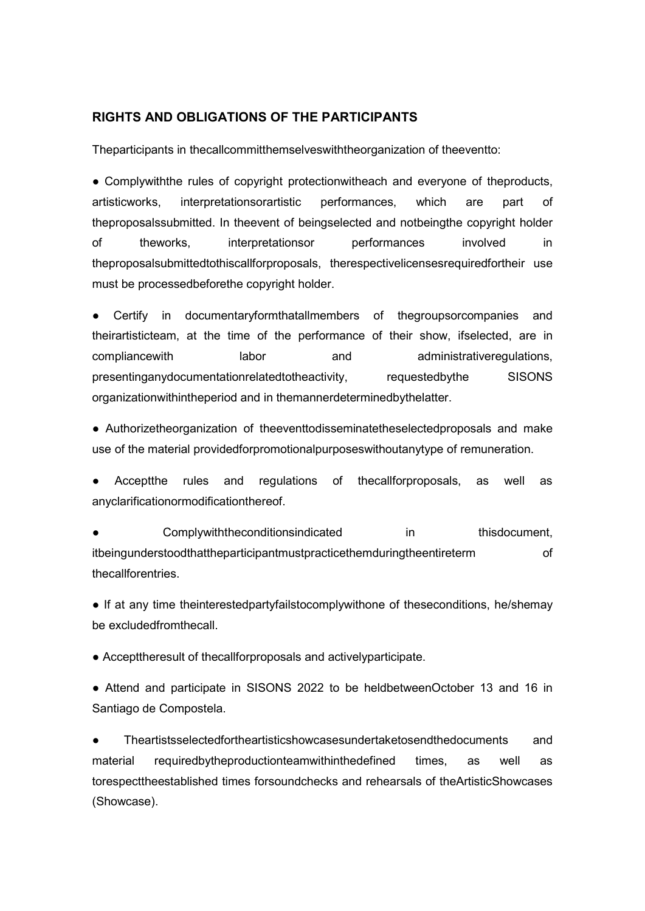### RIGHTS AND OBLIGATIONS OF THE PARTICIPANTS

Theparticipants in thecallcommitthemselveswiththeorganization of theeventto:

● Complywiththe rules of copyright protectionwitheach and everyone of theproducts, artisticworks, interpretationsorartistic performances, which are part of theproposalssubmitted. In theevent of beingselected and notbeingthe copyright holder of theworks, interpretationsor performances involved in theproposalsubmittedtothiscallforproposals, therespectivelicensesrequiredfortheir use must be processedbeforethe copyright holder.

Certify in documentaryformthatallmembers of thegroupsorcompanies and theirartisticteam, at the time of the performance of their show, ifselected, are in compliancewith labor and administrativeregulations, presentinganydocumentationrelatedtotheactivity, requestedbythe SISONS organizationwithintheperiod and in themannerdeterminedbythelatter.

● Authorizetheorganization of theeventtodisseminatetheselectedproposals and make use of the material providedforpromotionalpurposeswithoutanytype of remuneration.

Acceptthe rules and regulations of thecallforproposals, as well as anyclarificationormodificationthereof.

Complywiththeconditionsindicated in thisdocument, itbeingunderstoodthattheparticipantmustpracticethemduringtheentireterm of thecallforentries.

• If at any time theinterestedpartyfailstocomplywithone of theseconditions, he/shemay be excludedfromthecall.

● Accepttheresult of thecallforproposals and activelyparticipate.

● Attend and participate in SISONS 2022 to be heldbetweenOctober 13 and 16 in Santiago de Compostela.

Theartistsselectedfortheartisticshowcasesundertaketosendthedocuments and material requiredbytheproductionteamwithinthedefined times, as well as torespecttheestablished times forsoundchecks and rehearsals of theArtisticShowcases (Showcase).